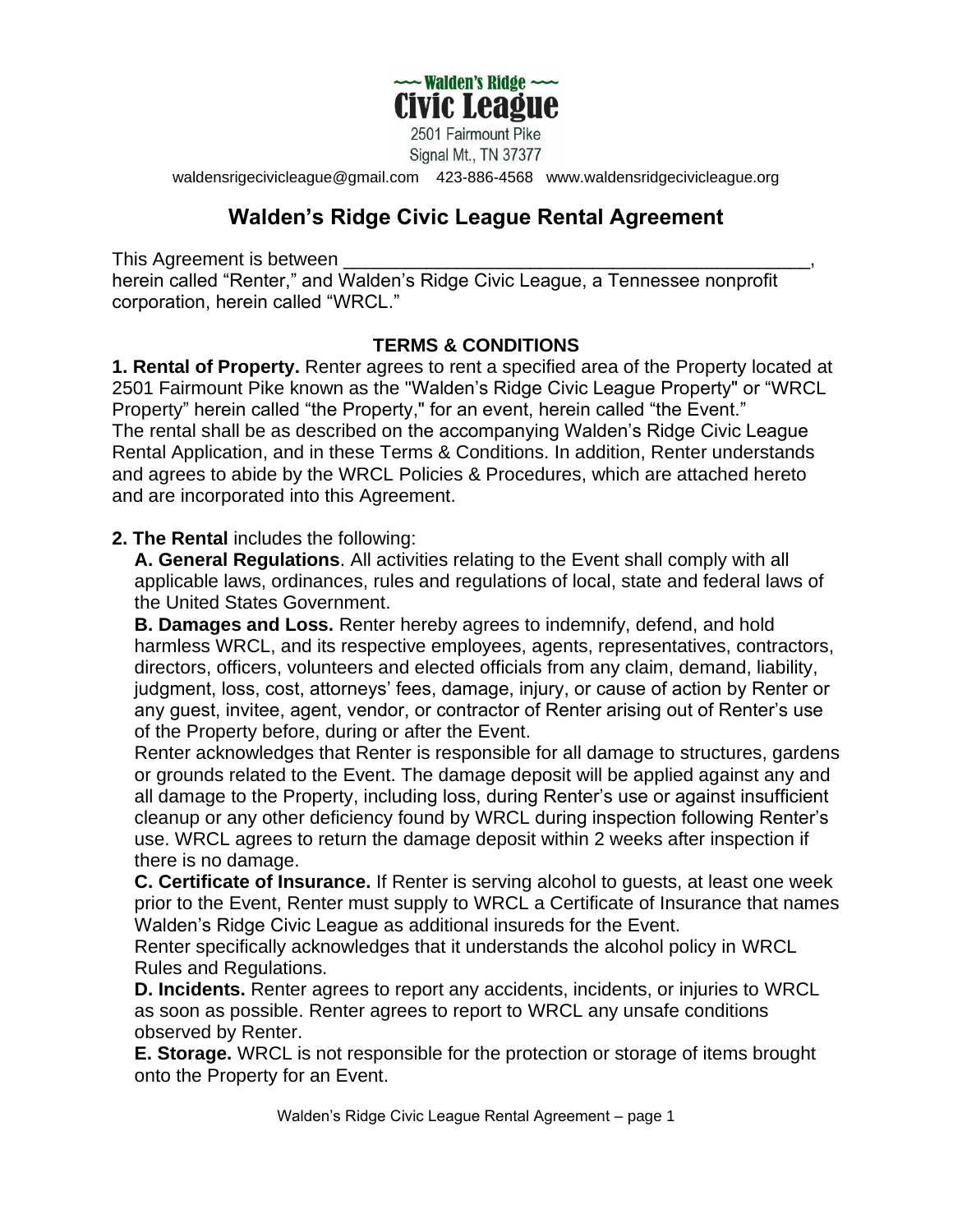

2501 Fairmount Pike Signal Mt., TN 37377

[waldensrigecivicleague@gmail.com](mailto:waldensrigecivicleague@gmail.com) 423-886-4568 www.waldensridgecivicleague.org

## **Walden's Ridge Civic League Rental Agreement**

This Agreement is between

herein called "Renter," and Walden's Ridge Civic League, a Tennessee nonprofit corporation, herein called "WRCL."

## **TERMS & CONDITIONS**

**1. Rental of Property.** Renter agrees to rent a specified area of the Property located at 2501 Fairmount Pike known as the "Walden's Ridge Civic League Property" or "WRCL Property" herein called "the Property," for an event, herein called "the Event." The rental shall be as described on the accompanying Walden's Ridge Civic League Rental Application, and in these Terms & Conditions. In addition, Renter understands and agrees to abide by the WRCL Policies & Procedures, which are attached hereto and are incorporated into this Agreement.

## **2. The Rental** includes the following:

**A. General Regulations**. All activities relating to the Event shall comply with all applicable laws, ordinances, rules and regulations of local, state and federal laws of the United States Government.

**B. Damages and Loss.** Renter hereby agrees to indemnify, defend, and hold harmless WRCL, and its respective employees, agents, representatives, contractors, directors, officers, volunteers and elected officials from any claim, demand, liability, judgment, loss, cost, attorneys' fees, damage, injury, or cause of action by Renter or any guest, invitee, agent, vendor, or contractor of Renter arising out of Renter's use of the Property before, during or after the Event.

Renter acknowledges that Renter is responsible for all damage to structures, gardens or grounds related to the Event. The damage deposit will be applied against any and all damage to the Property, including loss, during Renter's use or against insufficient cleanup or any other deficiency found by WRCL during inspection following Renter's use. WRCL agrees to return the damage deposit within 2 weeks after inspection if there is no damage.

**C. Certificate of Insurance.** If Renter is serving alcohol to guests, at least one week prior to the Event, Renter must supply to WRCL a Certificate of Insurance that names Walden's Ridge Civic League as additional insureds for the Event.

Renter specifically acknowledges that it understands the alcohol policy in WRCL Rules and Regulations.

**D. Incidents.** Renter agrees to report any accidents, incidents, or injuries to WRCL as soon as possible. Renter agrees to report to WRCL any unsafe conditions observed by Renter.

**E. Storage.** WRCL is not responsible for the protection or storage of items brought onto the Property for an Event.

Walden's Ridge Civic League Rental Agreement – page 1